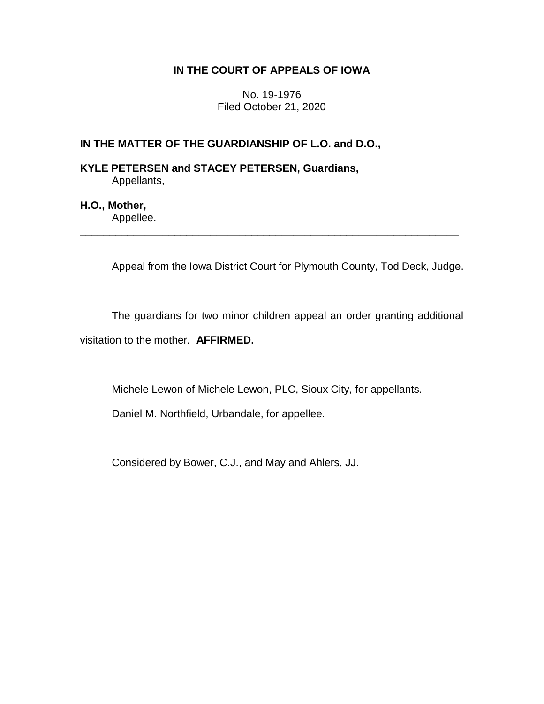# **IN THE COURT OF APPEALS OF IOWA**

No. 19-1976 Filed October 21, 2020

# **IN THE MATTER OF THE GUARDIANSHIP OF L.O. and D.O.,**

**KYLE PETERSEN and STACEY PETERSEN, Guardians,** Appellants,

# **H.O., Mother,**

Appellee.

Appeal from the Iowa District Court for Plymouth County, Tod Deck, Judge.

The guardians for two minor children appeal an order granting additional visitation to the mother. **AFFIRMED.**

\_\_\_\_\_\_\_\_\_\_\_\_\_\_\_\_\_\_\_\_\_\_\_\_\_\_\_\_\_\_\_\_\_\_\_\_\_\_\_\_\_\_\_\_\_\_\_\_\_\_\_\_\_\_\_\_\_\_\_\_\_\_\_\_

Michele Lewon of Michele Lewon, PLC, Sioux City, for appellants.

Daniel M. Northfield, Urbandale, for appellee.

Considered by Bower, C.J., and May and Ahlers, JJ.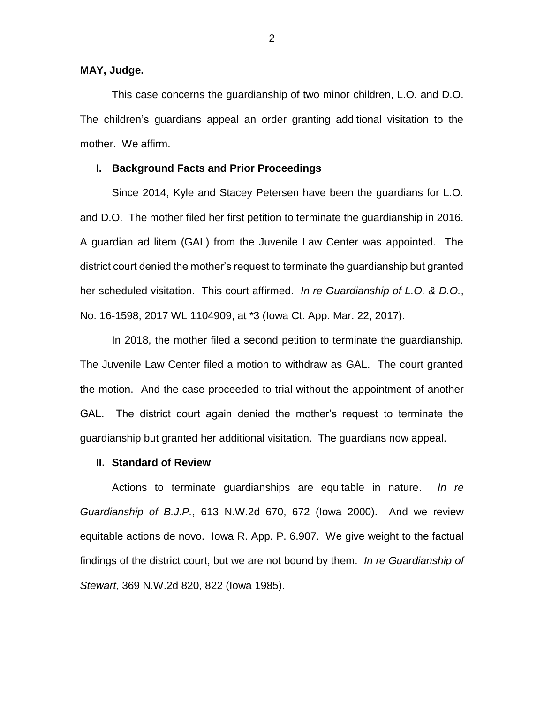### **MAY, Judge.**

This case concerns the guardianship of two minor children, L.O. and D.O. The children's guardians appeal an order granting additional visitation to the mother. We affirm.

#### **I. Background Facts and Prior Proceedings**

Since 2014, Kyle and Stacey Petersen have been the guardians for L.O. and D.O. The mother filed her first petition to terminate the guardianship in 2016. A guardian ad litem (GAL) from the Juvenile Law Center was appointed. The district court denied the mother's request to terminate the guardianship but granted her scheduled visitation. This court affirmed. *In re Guardianship of L.O. & D.O.*, No. 16-1598, 2017 WL 1104909, at \*3 (Iowa Ct. App. Mar. 22, 2017).

In 2018, the mother filed a second petition to terminate the guardianship. The Juvenile Law Center filed a motion to withdraw as GAL. The court granted the motion. And the case proceeded to trial without the appointment of another GAL. The district court again denied the mother's request to terminate the guardianship but granted her additional visitation. The guardians now appeal.

#### **II. Standard of Review**

Actions to terminate guardianships are equitable in nature. *In re Guardianship of B.J.P.*, 613 N.W.2d 670, 672 (Iowa 2000). And we review equitable actions de novo. Iowa R. App. P. 6.907. We give weight to the factual findings of the district court, but we are not bound by them. *In re Guardianship of Stewart*, 369 N.W.2d 820, 822 (Iowa 1985).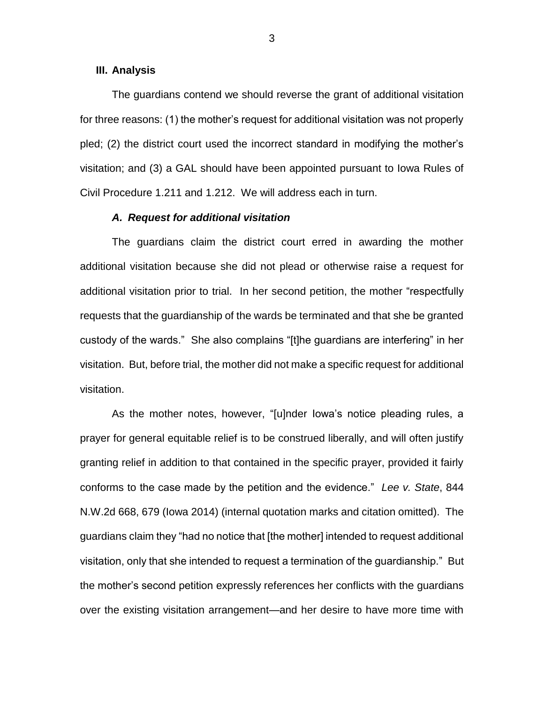#### **III. Analysis**

The guardians contend we should reverse the grant of additional visitation for three reasons: (1) the mother's request for additional visitation was not properly pled; (2) the district court used the incorrect standard in modifying the mother's visitation; and (3) a GAL should have been appointed pursuant to Iowa Rules of Civil Procedure 1.211 and 1.212. We will address each in turn.

#### *A. Request for additional visitation*

The guardians claim the district court erred in awarding the mother additional visitation because she did not plead or otherwise raise a request for additional visitation prior to trial. In her second petition, the mother "respectfully requests that the guardianship of the wards be terminated and that she be granted custody of the wards." She also complains "[t]he guardians are interfering" in her visitation. But, before trial, the mother did not make a specific request for additional visitation.

As the mother notes, however, "[u]nder Iowa's notice pleading rules, a prayer for general equitable relief is to be construed liberally, and will often justify granting relief in addition to that contained in the specific prayer, provided it fairly conforms to the case made by the petition and the evidence." *Lee v. State*, 844 N.W.2d 668, 679 (Iowa 2014) (internal quotation marks and citation omitted). The guardians claim they "had no notice that [the mother] intended to request additional visitation, only that she intended to request a termination of the guardianship." But the mother's second petition expressly references her conflicts with the guardians over the existing visitation arrangement—and her desire to have more time with

3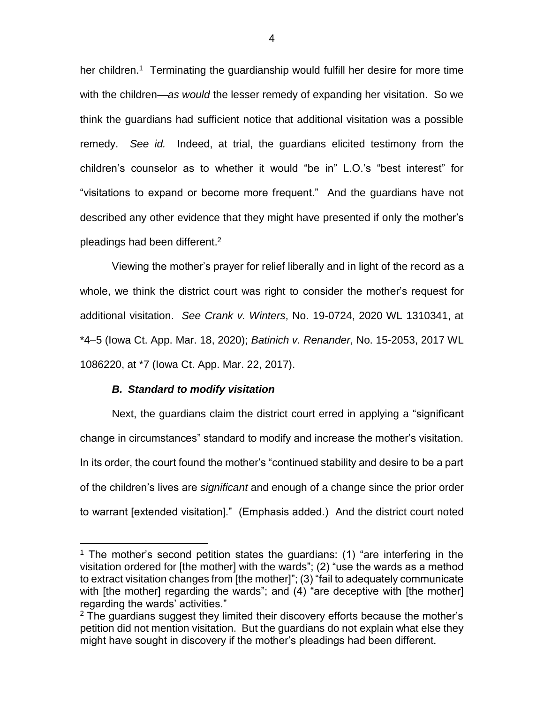her children.<sup>1</sup> Terminating the guardianship would fulfill her desire for more time with the children—*as would* the lesser remedy of expanding her visitation. So we think the guardians had sufficient notice that additional visitation was a possible remedy. *See id.* Indeed, at trial, the guardians elicited testimony from the children's counselor as to whether it would "be in" L.O.'s "best interest" for "visitations to expand or become more frequent." And the guardians have not described any other evidence that they might have presented if only the mother's pleadings had been different. 2

Viewing the mother's prayer for relief liberally and in light of the record as a whole, we think the district court was right to consider the mother's request for additional visitation. *See Crank v. Winters*, No. 19-0724, 2020 WL 1310341, at \*4–5 (Iowa Ct. App. Mar. 18, 2020); *Batinich v. Renander*, No. 15-2053, 2017 WL 1086220, at \*7 (Iowa Ct. App. Mar. 22, 2017).

# *B. Standard to modify visitation*

 $\overline{a}$ 

Next, the guardians claim the district court erred in applying a "significant change in circumstances" standard to modify and increase the mother's visitation. In its order, the court found the mother's "continued stability and desire to be a part of the children's lives are *significant* and enough of a change since the prior order to warrant [extended visitation]." (Emphasis added.) And the district court noted

<sup>&</sup>lt;sup>1</sup> The mother's second petition states the guardians: (1) "are interfering in the visitation ordered for [the mother] with the wards"; (2) "use the wards as a method to extract visitation changes from [the mother]"; (3) "fail to adequately communicate with [the mother] regarding the wards"; and (4) "are deceptive with [the mother] regarding the wards' activities."

 $2$  The guardians suggest they limited their discovery efforts because the mother's petition did not mention visitation. But the guardians do not explain what else they might have sought in discovery if the mother's pleadings had been different.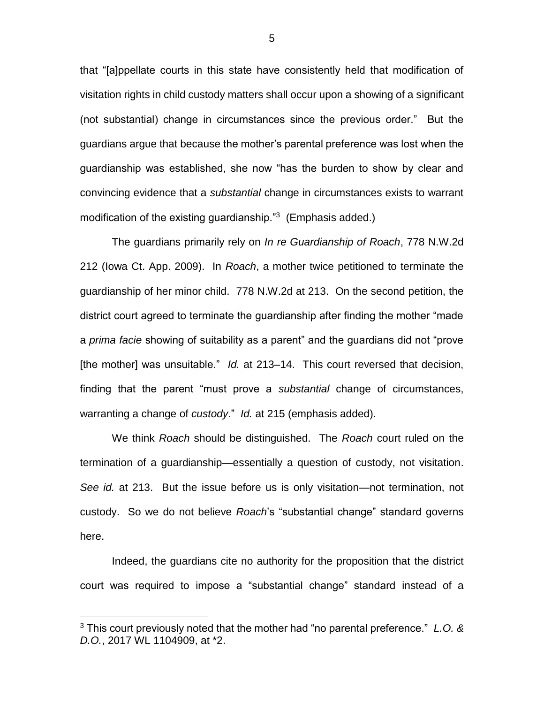that "[a]ppellate courts in this state have consistently held that modification of visitation rights in child custody matters shall occur upon a showing of a significant (not substantial) change in circumstances since the previous order." But the guardians argue that because the mother's parental preference was lost when the guardianship was established, she now "has the burden to show by clear and convincing evidence that a *substantial* change in circumstances exists to warrant modification of the existing guardianship."<sup>3</sup> (Emphasis added.)

The guardians primarily rely on *In re Guardianship of Roach*, 778 N.W.2d 212 (Iowa Ct. App. 2009). In *Roach*, a mother twice petitioned to terminate the guardianship of her minor child. 778 N.W.2d at 213. On the second petition, the district court agreed to terminate the guardianship after finding the mother "made a *prima facie* showing of suitability as a parent" and the guardians did not "prove [the mother] was unsuitable." *Id.* at 213–14. This court reversed that decision, finding that the parent "must prove a *substantial* change of circumstances, warranting a change of *custody*." *Id.* at 215 (emphasis added).

We think *Roach* should be distinguished. The *Roach* court ruled on the termination of a guardianship—essentially a question of custody, not visitation. *See id.* at 213. But the issue before us is only visitation—not termination, not custody. So we do not believe *Roach*'s "substantial change" standard governs here.

Indeed, the guardians cite no authority for the proposition that the district court was required to impose a "substantial change" standard instead of a

 $\overline{a}$ 

<sup>3</sup> This court previously noted that the mother had "no parental preference." *L.O. & D.O.*, 2017 WL 1104909, at \*2.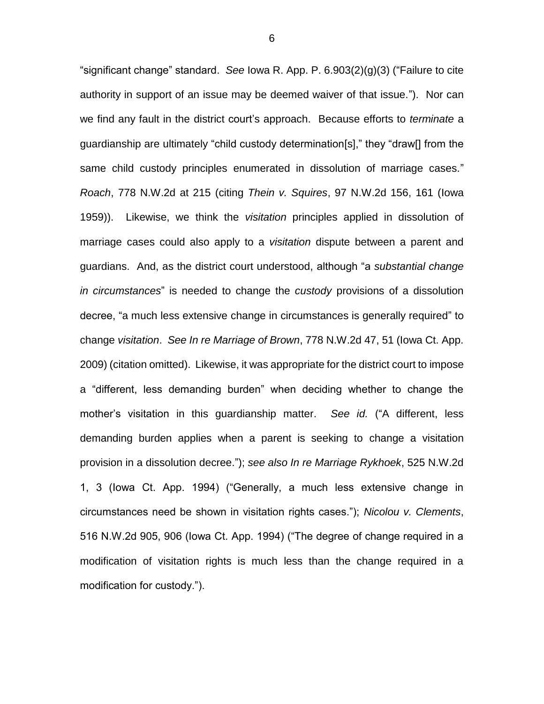"significant change" standard. *See* Iowa R. App. P. 6.903(2)(g)(3) ("Failure to cite authority in support of an issue may be deemed waiver of that issue."). Nor can we find any fault in the district court's approach. Because efforts to *terminate* a guardianship are ultimately "child custody determination[s]," they "draw[] from the same child custody principles enumerated in dissolution of marriage cases." *Roach*, 778 N.W.2d at 215 (citing *Thein v. Squires*, 97 N.W.2d 156, 161 (Iowa 1959)). Likewise, we think the *visitation* principles applied in dissolution of marriage cases could also apply to a *visitation* dispute between a parent and guardians. And, as the district court understood, although "a *substantial change in circumstances*" is needed to change the *custody* provisions of a dissolution decree, "a much less extensive change in circumstances is generally required" to change *visitation*. *See In re Marriage of Brown*, 778 N.W.2d 47, 51 (Iowa Ct. App. 2009) (citation omitted). Likewise, it was appropriate for the district court to impose a "different, less demanding burden" when deciding whether to change the mother's visitation in this guardianship matter. *See id.* ("A different, less demanding burden applies when a parent is seeking to change a visitation provision in a dissolution decree."); *see also In re Marriage Rykhoek*, 525 N.W.2d 1, 3 (Iowa Ct. App. 1994) ("Generally, a much less extensive change in circumstances need be shown in visitation rights cases."); *Nicolou v. Clements*, 516 N.W.2d 905, 906 (Iowa Ct. App. 1994) ("The degree of change required in a modification of visitation rights is much less than the change required in a modification for custody.").

6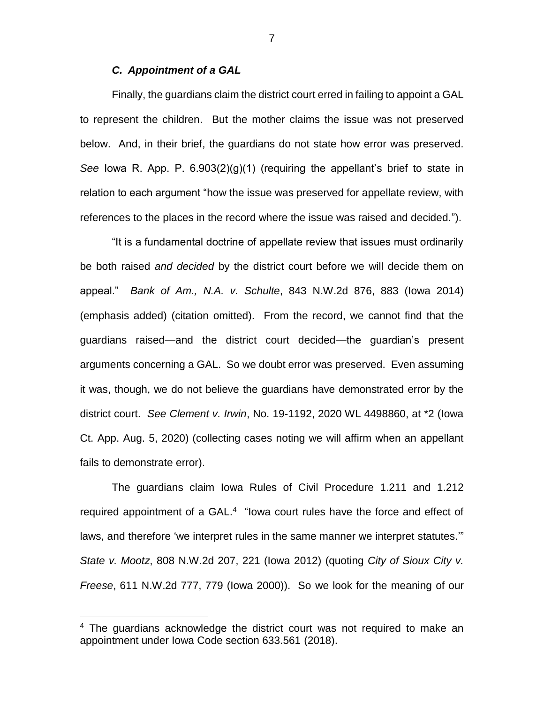### *C. Appointment of a GAL*

Finally, the guardians claim the district court erred in failing to appoint a GAL to represent the children. But the mother claims the issue was not preserved below. And, in their brief, the guardians do not state how error was preserved. *See* Iowa R. App. P. 6.903(2)(g)(1) (requiring the appellant's brief to state in relation to each argument "how the issue was preserved for appellate review, with references to the places in the record where the issue was raised and decided.").

"It is a fundamental doctrine of appellate review that issues must ordinarily be both raised *and decided* by the district court before we will decide them on appeal." *Bank of Am., N.A. v. Schulte*, 843 N.W.2d 876, 883 (Iowa 2014) (emphasis added) (citation omitted). From the record, we cannot find that the guardians raised—and the district court decided—the guardian's present arguments concerning a GAL. So we doubt error was preserved. Even assuming it was, though, we do not believe the guardians have demonstrated error by the district court. *See Clement v. Irwin*, No. 19-1192, 2020 WL 4498860, at \*2 (Iowa Ct. App. Aug. 5, 2020) (collecting cases noting we will affirm when an appellant fails to demonstrate error).

The guardians claim Iowa Rules of Civil Procedure 1.211 and 1.212 required appointment of a GAL.<sup>4</sup> "lowa court rules have the force and effect of laws, and therefore 'we interpret rules in the same manner we interpret statutes.'" *State v. Mootz*, 808 N.W.2d 207, 221 (Iowa 2012) (quoting *City of Sioux City v. Freese*, 611 N.W.2d 777, 779 (Iowa 2000)). So we look for the meaning of our

 $\overline{a}$ 

7

<sup>&</sup>lt;sup>4</sup> The guardians acknowledge the district court was not required to make an appointment under Iowa Code section 633.561 (2018).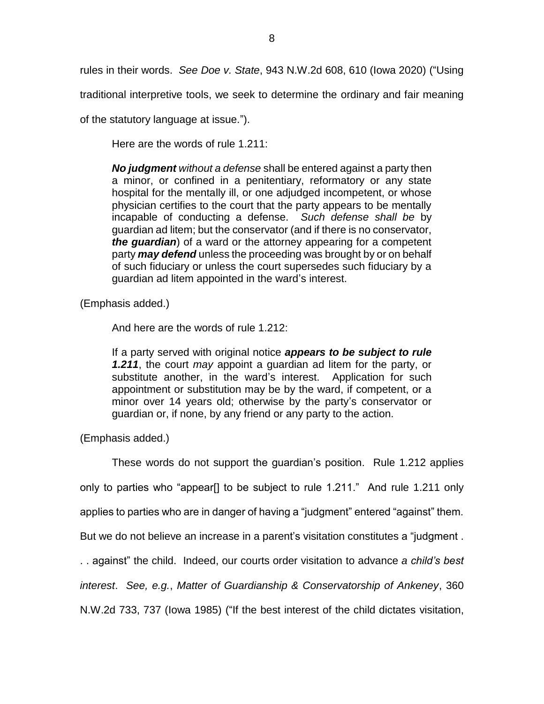rules in their words. *See Doe v. State*, 943 N.W.2d 608, 610 (Iowa 2020) ("Using

traditional interpretive tools, we seek to determine the ordinary and fair meaning

of the statutory language at issue.").

Here are the words of rule 1.211:

*No judgment without a defense* shall be entered against a party then a minor, or confined in a penitentiary, reformatory or any state hospital for the mentally ill, or one adjudged incompetent, or whose physician certifies to the court that the party appears to be mentally incapable of conducting a defense. *Such defense shall be* by guardian ad litem; but the conservator (and if there is no conservator, *the guardian*) of a ward or the attorney appearing for a competent party *may defend* unless the proceeding was brought by or on behalf of such fiduciary or unless the court supersedes such fiduciary by a guardian ad litem appointed in the ward's interest.

(Emphasis added.)

And here are the words of rule 1.212:

If a party served with original notice *appears to be subject to rule 1.211*, the court *may* appoint a guardian ad litem for the party, or substitute another, in the ward's interest. Application for such appointment or substitution may be by the ward, if competent, or a minor over 14 years old; otherwise by the party's conservator or guardian or, if none, by any friend or any party to the action.

(Emphasis added.)

These words do not support the guardian's position. Rule 1.212 applies

only to parties who "appear[] to be subject to rule 1.211." And rule 1.211 only

applies to parties who are in danger of having a "judgment" entered "against" them.

But we do not believe an increase in a parent's visitation constitutes a "judgment .

. . against" the child. Indeed, our courts order visitation to advance *a child's best* 

*interest*. *See, e.g.*, *Matter of Guardianship & Conservatorship of Ankeney*, 360

N.W.2d 733, 737 (Iowa 1985) ("If the best interest of the child dictates visitation,